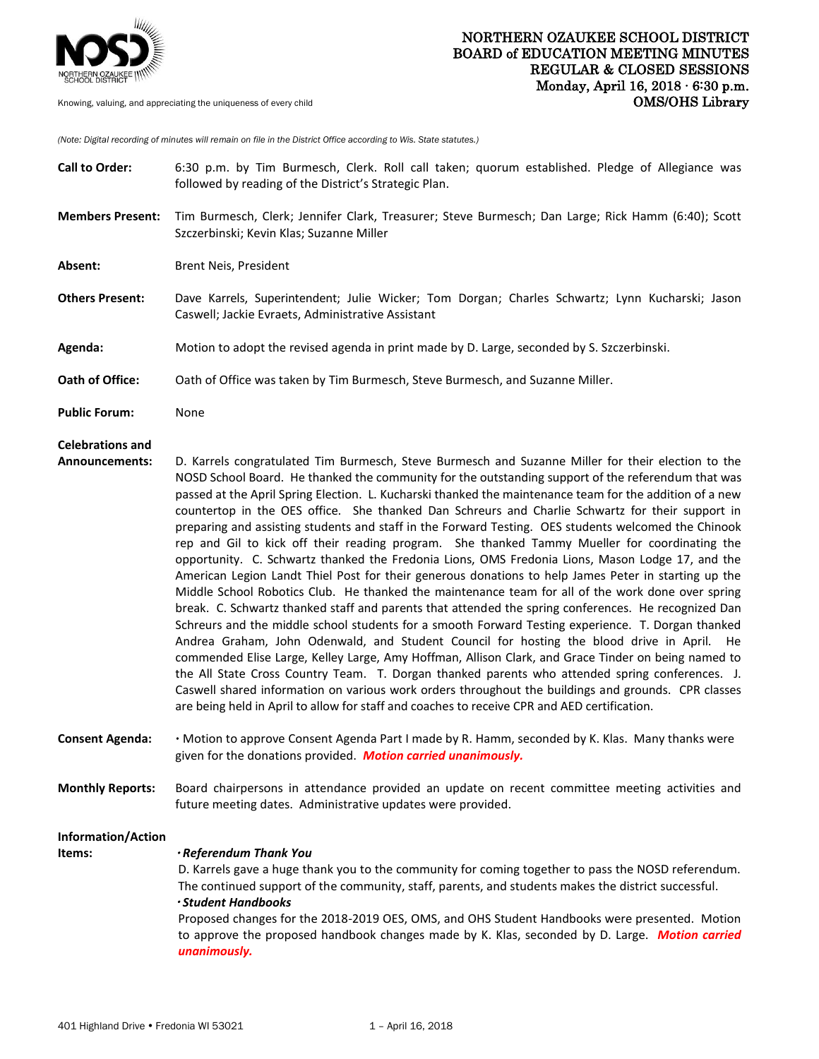

*(Note: Digital recording of minutes will remain on file in the District Office according to Wis. State statutes.)*

| <b>Call to Order:</b>                            | 6:30 p.m. by Tim Burmesch, Clerk. Roll call taken; quorum established. Pledge of Allegiance was<br>followed by reading of the District's Strategic Plan.                                                                                                                                                                                                                                                                                                                                                                                                                                                                                                                                                                                                                                                                                                                                                                                                                                                                                                                                                                                                                                                                                                                                                                                                                                                                                                                                                                                                                                                                                                                        |
|--------------------------------------------------|---------------------------------------------------------------------------------------------------------------------------------------------------------------------------------------------------------------------------------------------------------------------------------------------------------------------------------------------------------------------------------------------------------------------------------------------------------------------------------------------------------------------------------------------------------------------------------------------------------------------------------------------------------------------------------------------------------------------------------------------------------------------------------------------------------------------------------------------------------------------------------------------------------------------------------------------------------------------------------------------------------------------------------------------------------------------------------------------------------------------------------------------------------------------------------------------------------------------------------------------------------------------------------------------------------------------------------------------------------------------------------------------------------------------------------------------------------------------------------------------------------------------------------------------------------------------------------------------------------------------------------------------------------------------------------|
| <b>Members Present:</b>                          | Tim Burmesch, Clerk; Jennifer Clark, Treasurer; Steve Burmesch; Dan Large; Rick Hamm (6:40); Scott<br>Szczerbinski; Kevin Klas; Suzanne Miller                                                                                                                                                                                                                                                                                                                                                                                                                                                                                                                                                                                                                                                                                                                                                                                                                                                                                                                                                                                                                                                                                                                                                                                                                                                                                                                                                                                                                                                                                                                                  |
| Absent:                                          | Brent Neis, President                                                                                                                                                                                                                                                                                                                                                                                                                                                                                                                                                                                                                                                                                                                                                                                                                                                                                                                                                                                                                                                                                                                                                                                                                                                                                                                                                                                                                                                                                                                                                                                                                                                           |
| <b>Others Present:</b>                           | Dave Karrels, Superintendent; Julie Wicker; Tom Dorgan; Charles Schwartz; Lynn Kucharski; Jason<br>Caswell; Jackie Evraets, Administrative Assistant                                                                                                                                                                                                                                                                                                                                                                                                                                                                                                                                                                                                                                                                                                                                                                                                                                                                                                                                                                                                                                                                                                                                                                                                                                                                                                                                                                                                                                                                                                                            |
| Agenda:                                          | Motion to adopt the revised agenda in print made by D. Large, seconded by S. Szczerbinski.                                                                                                                                                                                                                                                                                                                                                                                                                                                                                                                                                                                                                                                                                                                                                                                                                                                                                                                                                                                                                                                                                                                                                                                                                                                                                                                                                                                                                                                                                                                                                                                      |
| Oath of Office:                                  | Oath of Office was taken by Tim Burmesch, Steve Burmesch, and Suzanne Miller.                                                                                                                                                                                                                                                                                                                                                                                                                                                                                                                                                                                                                                                                                                                                                                                                                                                                                                                                                                                                                                                                                                                                                                                                                                                                                                                                                                                                                                                                                                                                                                                                   |
| <b>Public Forum:</b>                             | None                                                                                                                                                                                                                                                                                                                                                                                                                                                                                                                                                                                                                                                                                                                                                                                                                                                                                                                                                                                                                                                                                                                                                                                                                                                                                                                                                                                                                                                                                                                                                                                                                                                                            |
| <b>Celebrations and</b><br><b>Announcements:</b> | D. Karrels congratulated Tim Burmesch, Steve Burmesch and Suzanne Miller for their election to the<br>NOSD School Board. He thanked the community for the outstanding support of the referendum that was<br>passed at the April Spring Election. L. Kucharski thanked the maintenance team for the addition of a new<br>countertop in the OES office. She thanked Dan Schreurs and Charlie Schwartz for their support in<br>preparing and assisting students and staff in the Forward Testing. OES students welcomed the Chinook<br>rep and Gil to kick off their reading program. She thanked Tammy Mueller for coordinating the<br>opportunity. C. Schwartz thanked the Fredonia Lions, OMS Fredonia Lions, Mason Lodge 17, and the<br>American Legion Landt Thiel Post for their generous donations to help James Peter in starting up the<br>Middle School Robotics Club. He thanked the maintenance team for all of the work done over spring<br>break. C. Schwartz thanked staff and parents that attended the spring conferences. He recognized Dan<br>Schreurs and the middle school students for a smooth Forward Testing experience. T. Dorgan thanked<br>Andrea Graham, John Odenwald, and Student Council for hosting the blood drive in April. He<br>commended Elise Large, Kelley Large, Amy Hoffman, Allison Clark, and Grace Tinder on being named to<br>the All State Cross Country Team. T. Dorgan thanked parents who attended spring conferences. J.<br>Caswell shared information on various work orders throughout the buildings and grounds. CPR classes<br>are being held in April to allow for staff and coaches to receive CPR and AED certification. |
| <b>Consent Agenda:</b>                           | . Motion to approve Consent Agenda Part I made by R. Hamm, seconded by K. Klas. Many thanks were<br>given for the donations provided. Motion carried unanimously.                                                                                                                                                                                                                                                                                                                                                                                                                                                                                                                                                                                                                                                                                                                                                                                                                                                                                                                                                                                                                                                                                                                                                                                                                                                                                                                                                                                                                                                                                                               |
| <b>Monthly Reports:</b>                          | Board chairpersons in attendance provided an update on recent committee meeting activities and<br>future meeting dates. Administrative updates were provided.                                                                                                                                                                                                                                                                                                                                                                                                                                                                                                                                                                                                                                                                                                                                                                                                                                                                                                                                                                                                                                                                                                                                                                                                                                                                                                                                                                                                                                                                                                                   |
| Information/Action<br>Items:                     | · Referendum Thank You<br>D. Karrels gave a huge thank you to the community for coming together to pass the NOSD referendum.<br>The continued support of the community, staff, parents, and students makes the district successful.<br>· Student Handbooks<br>Proposed changes for the 2018-2019 OES, OMS, and OHS Student Handbooks were presented. Motion<br>to approve the proposed handbook changes made by K. Klas, seconded by D. Large. Motion carried<br>unanimously.                                                                                                                                                                                                                                                                                                                                                                                                                                                                                                                                                                                                                                                                                                                                                                                                                                                                                                                                                                                                                                                                                                                                                                                                   |